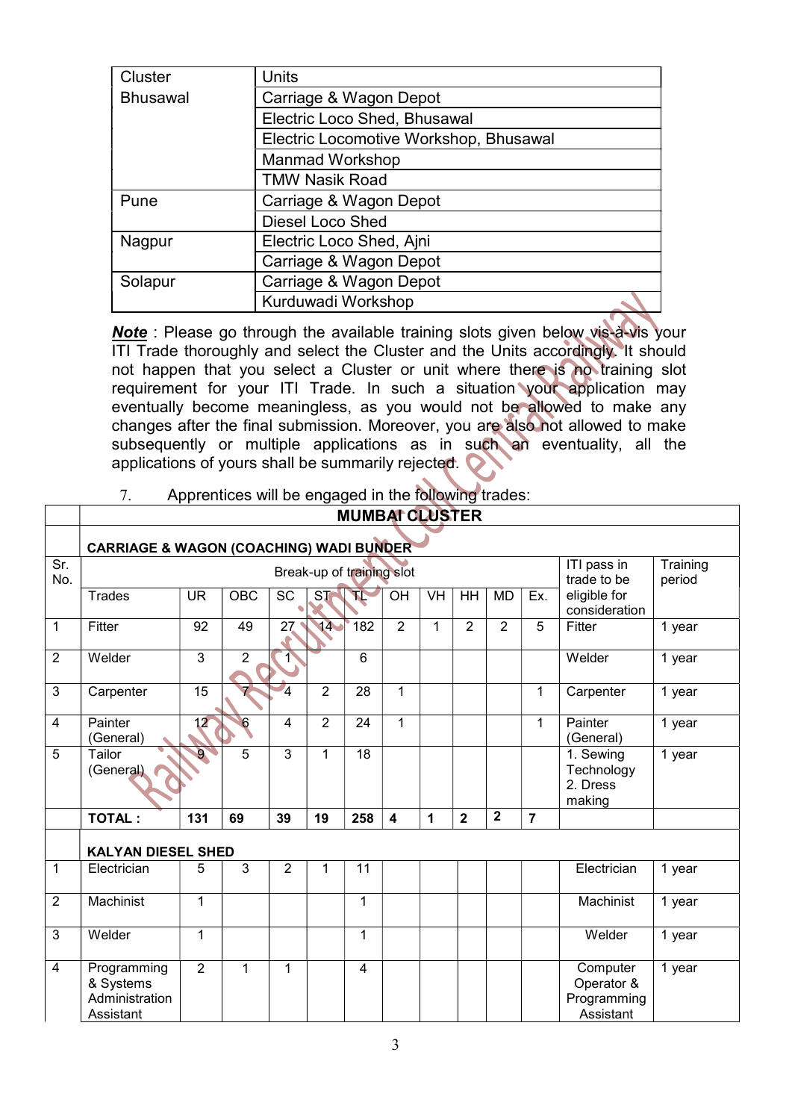| Cluster         | Units                                  |
|-----------------|----------------------------------------|
| <b>Bhusawal</b> | Carriage & Wagon Depot                 |
|                 | Electric Loco Shed, Bhusawal           |
|                 | Electric Locomotive Workshop, Bhusawal |
|                 | <b>Manmad Workshop</b>                 |
|                 | TMW Nasik Road                         |
| Pune            | Carriage & Wagon Depot                 |
|                 | Diesel Loco Shed                       |
| Nagpur          | Electric Loco Shed, Ajni               |
|                 | Carriage & Wagon Depot                 |
| Solapur         | Carriage & Wagon Depot                 |
|                 | Kurduwadi Workshop                     |

Note : Please go through the available training slots given below vis-à-vis your ITI Trade thoroughly and select the Cluster and the Units accordingly. It should not happen that you select a Cluster or unit where there is no training slot requirement for your ITI Trade. In such a situation your application may eventually become meaningless, as you would not be allowed to make any changes after the final submission. Moreover, you are also not allowed to make subsequently or multiple applications as in such an eventuality, all the applications of yours shall be summarily rejected.

| Apprentices will be engaged in the following trades: |
|------------------------------------------------------|
|                                                      |

|                |                                                         |                |                |                 |                           |                | <b>MUMBATCLUSTER</b> |              |                         |                |                |                                                    |                    |
|----------------|---------------------------------------------------------|----------------|----------------|-----------------|---------------------------|----------------|----------------------|--------------|-------------------------|----------------|----------------|----------------------------------------------------|--------------------|
|                | <b>CARRIAGE &amp; WAGON (COACHING) WADI BUNDER</b>      |                |                |                 |                           |                |                      |              |                         |                |                |                                                    |                    |
| Sr.<br>No.     |                                                         |                |                |                 | Break-up of training slot |                |                      |              |                         |                |                | ITI pass in<br>trade to be                         | Training<br>period |
|                | Trades                                                  | <b>UR</b>      | OBC            | $\overline{SC}$ | $\overline{\text{ST}}$    | Æ              | OH                   | <b>VH</b>    | HH                      | <b>MD</b>      | Ex.            | eligible for<br>consideration                      |                    |
| $\mathbf{1}$   | Fitter                                                  | 92             | 49             | $\overline{27}$ | 14                        | 182            | $\overline{2}$       | $\mathbf{1}$ | $\overline{2}$          | $\overline{2}$ | 5              | <b>Fitter</b>                                      | 1 year             |
| $\overline{2}$ | Welder                                                  | 3              | $\overline{2}$ | $\overline{1}$  |                           | $6\phantom{1}$ |                      |              |                         |                |                | Welder                                             | 1 year             |
| $\mathbf{3}$   | Carpenter                                               | 15             |                | $\overline{4}$  | $\overline{2}$            | 28             | 1                    |              |                         |                | 1              | Carpenter                                          | 1 year             |
| $\overline{4}$ | Painter<br>(General)                                    | 12             | 6              | $\overline{4}$  | $\overline{2}$            | 24             | $\mathbf{1}$         |              |                         |                | $\mathbf{1}$   | Painter<br>(General)                               | 1 year             |
| 5              | Tailor<br>(General)                                     | 9              | 5              | $\overline{3}$  | $\mathbf{1}$              | 18             |                      |              |                         |                |                | 1. Sewing<br>Technology<br>2. Dress<br>making      | 1 year             |
|                | <b>TOTAL:</b>                                           | 131            | 69             | 39              | 19                        | 258            | $\boldsymbol{4}$     | 1            | $\overline{\mathbf{2}}$ | $\mathbf{2}$   | $\overline{7}$ |                                                    |                    |
|                | <b>KALYAN DIESEL SHED</b>                               |                |                |                 |                           |                |                      |              |                         |                |                |                                                    |                    |
| $\mathbf{1}$   | Electrician                                             | 5              | 3              | $\overline{2}$  | 1                         | 11             |                      |              |                         |                |                | Electrician                                        | 1 year             |
| $\overline{2}$ | Machinist                                               | 1              |                |                 |                           | 1              |                      |              |                         |                |                | Machinist                                          | 1 year             |
| 3              | Welder                                                  | 1              |                |                 |                           | 1              |                      |              |                         |                |                | Welder                                             | 1 year             |
| $\overline{4}$ | Programming<br>& Systems<br>Administration<br>Assistant | $\overline{2}$ | $\mathbf 1$    | 1               |                           | $\overline{4}$ |                      |              |                         |                |                | Computer<br>Operator &<br>Programming<br>Assistant | 1 year             |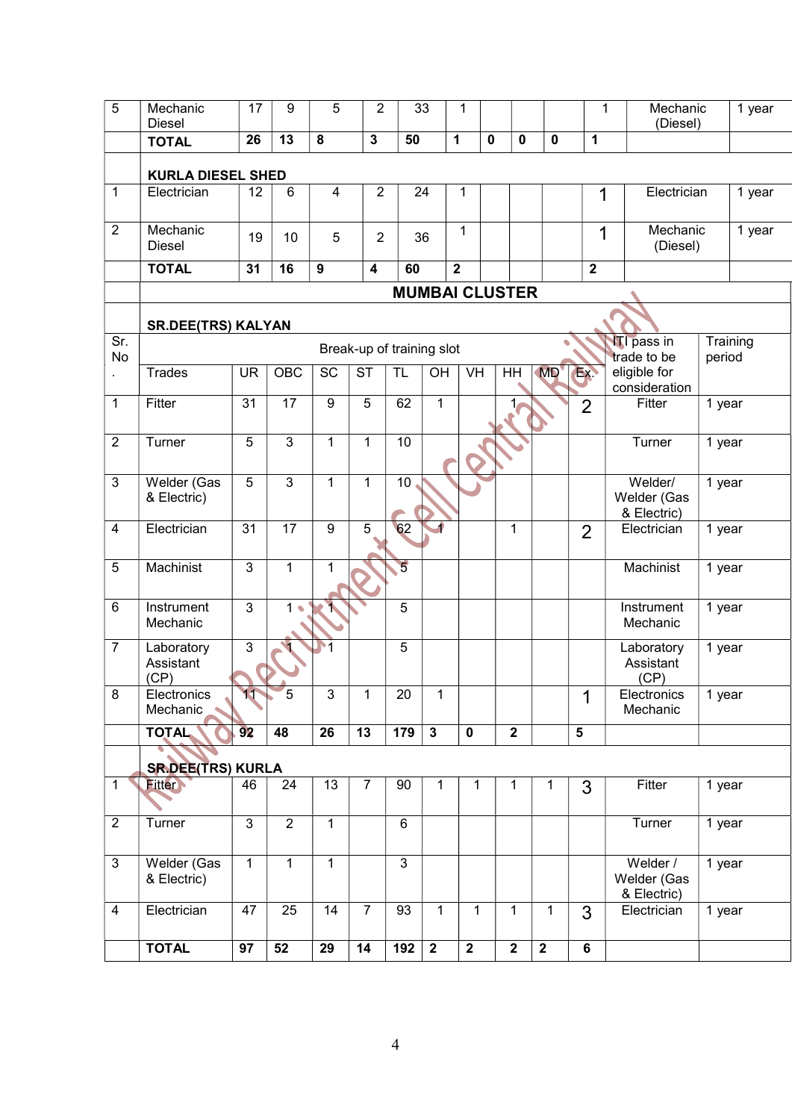| 5                | Mechanic<br><b>Diesel</b> | 17             | 9              | 5                       | $\overline{2}$            |                     | 33                      | 1                         |             |                |                |                         | 1 | Mechanic<br>(Diesel)        |        | 1 year   |
|------------------|---------------------------|----------------|----------------|-------------------------|---------------------------|---------------------|-------------------------|---------------------------|-------------|----------------|----------------|-------------------------|---|-----------------------------|--------|----------|
|                  | <b>TOTAL</b>              | 26             | 13             | 8                       | $\overline{3}$            | $\overline{50}$     |                         | 1                         | $\mathbf 0$ | $\mathbf 0$    | $\mathbf 0$    | 1                       |   |                             |        |          |
|                  |                           |                |                |                         |                           |                     |                         |                           |             |                |                |                         |   |                             |        |          |
|                  | <b>KURLA DIESEL SHED</b>  |                |                |                         |                           |                     |                         |                           |             |                |                |                         |   |                             |        |          |
| 1                | Electrician               | 12             | 6              | $\overline{\mathbf{4}}$ | $\overline{2}$            |                     | 24                      | 1                         |             |                |                | 1                       |   | Electrician                 |        | 1 year   |
|                  |                           |                |                |                         |                           |                     |                         |                           |             |                |                |                         |   |                             |        |          |
| $\overline{2}$   | Mechanic<br><b>Diesel</b> | 19             | 10             | 5                       | $\overline{2}$            |                     | 36                      | $\mathbf{1}$              |             |                |                |                         | 1 | Mechanic<br>(Diesel)        |        | 1 year   |
|                  | <b>TOTAL</b>              | 31             | 16             | 9                       | $\overline{\mathbf{4}}$   | 60                  |                         | $\overline{\mathbf{2}}$   |             |                |                | $\overline{2}$          |   |                             |        |          |
|                  |                           |                |                |                         |                           |                     | <b>MUMBAI CLUSTER</b>   |                           |             |                |                |                         |   |                             |        |          |
|                  |                           |                |                |                         |                           |                     |                         |                           |             |                |                |                         |   |                             |        |          |
|                  | <b>SR.DEE(TRS) KALYAN</b> |                |                |                         |                           |                     |                         |                           |             |                |                |                         |   |                             |        |          |
| Sr.<br><b>No</b> |                           |                |                |                         | Break-up of training slot |                     |                         |                           |             |                |                |                         |   | <b>ITI</b> pass in          |        | Training |
|                  | <b>Trades</b>             | <b>UR</b>      | OBC            | $\overline{SC}$         | $\overline{\text{ST}}$    | $\overline{\sf TL}$ | $\overline{O}$ H        | $\overline{\mathsf{V}}$ H |             | $\overline{H}$ | <b>MD</b>      | Ex.                     |   | trade to be<br>eligible for | period |          |
|                  |                           |                |                |                         |                           |                     |                         |                           |             |                |                |                         |   | consideration               |        |          |
| $\mathbf{1}$     | Fitter                    | 31             | 17             | $\boldsymbol{9}$        | 5                         | 62                  | $\mathbf{1}$            |                           |             | 1              |                | $\overline{2}$          |   | Fitter                      | 1 year |          |
|                  |                           |                |                |                         |                           |                     |                         |                           |             |                |                |                         |   |                             |        |          |
| $\overline{2}$   | Turner                    | 5              | 3              | $\mathbf{1}$            | 1                         | 10                  |                         |                           |             |                |                |                         |   | Turner                      | 1 year |          |
|                  |                           |                |                |                         |                           |                     |                         |                           |             |                |                |                         |   |                             |        |          |
| 3                | Welder (Gas               | 5              | 3              | $\mathbf{1}$            | $\mathbf{1}$              | 10                  |                         |                           |             |                |                |                         |   | Welder/                     | 1 year |          |
|                  | & Electric)               |                |                |                         |                           |                     |                         |                           |             |                |                |                         |   | Welder (Gas                 |        |          |
|                  |                           |                |                |                         |                           |                     |                         |                           |             |                |                |                         |   | & Electric)                 |        |          |
| $\overline{4}$   | Electrician               | 31             | 17             | $\boldsymbol{9}$        | 5                         | 62                  |                         |                           |             | $\mathbf{1}$   |                | $\overline{2}$          |   | Electrician                 | 1 year |          |
| $\overline{5}$   | Machinist                 | $\overline{3}$ | $\mathbf{1}$   | 1                       |                           | $\overline{5}$      |                         |                           |             |                |                |                         |   | <b>Machinist</b>            |        |          |
|                  |                           |                |                |                         |                           |                     |                         |                           |             |                |                |                         |   |                             | 1 year |          |
|                  |                           |                |                |                         |                           |                     |                         |                           |             |                |                |                         |   |                             |        |          |
| $6\phantom{1}$   | Instrument<br>Mechanic    | $\mathfrak{S}$ | $1 \bullet$    |                         |                           | 5                   |                         |                           |             |                |                |                         |   | Instrument<br>Mechanic      | 1 year |          |
|                  |                           |                |                |                         |                           |                     |                         |                           |             |                |                |                         |   |                             |        |          |
| $\overline{7}$   | Laboratory<br>Assistant   | $\overline{3}$ |                |                         |                           | 5                   |                         |                           |             |                |                |                         |   | Laboratory<br>Assistant     | 1 year |          |
|                  | (CP)                      |                |                |                         |                           |                     |                         |                           |             |                |                |                         |   | (CP)                        |        |          |
| 8                | Electronics               | 11             | $\circ$        | 3                       | 1                         | $\overline{20}$     | 1                       |                           |             |                |                | 1                       |   | Electronics                 | 1 year |          |
|                  | Mechanic                  |                |                |                         |                           |                     |                         |                           |             |                |                |                         |   | Mechanic                    |        |          |
|                  | <b>TOTAL</b>              | 92             | 48             | 26                      | $\overline{13}$           | 179                 | $\overline{\mathbf{3}}$ | $\pmb{0}$                 |             | $\overline{2}$ |                | $\overline{\mathbf{5}}$ |   |                             |        |          |
|                  |                           |                |                |                         |                           |                     |                         |                           |             |                |                |                         |   |                             |        |          |
|                  | <b>SR.DEE(TRS) KURLA</b>  |                |                |                         |                           |                     |                         |                           |             |                |                |                         |   |                             |        |          |
| $\mathbf{1}$     | <b>Fitter</b>             | 46             | 24             | 13                      | $\overline{7}$            | 90                  | $\mathbf{1}$            | 1                         |             | 1              | 1              | 3                       |   | Fitter                      | 1 year |          |
|                  |                           |                |                |                         |                           |                     |                         |                           |             |                |                |                         |   |                             |        |          |
| $\overline{2}$   | Turner                    | $\mathfrak{S}$ | $\overline{2}$ | 1                       |                           | 6                   |                         |                           |             |                |                |                         |   | Turner                      | 1 year |          |
|                  |                           |                |                |                         |                           |                     |                         |                           |             |                |                |                         |   |                             |        |          |
| 3                | Welder (Gas               | $\mathbf{1}$   | $\overline{1}$ | $\mathbf{1}$            |                           | $\overline{3}$      |                         |                           |             |                |                |                         |   | Welder /                    | 1 year |          |
|                  | & Electric)               |                |                |                         |                           |                     |                         |                           |             |                |                |                         |   | Welder (Gas                 |        |          |
| $\overline{4}$   | Electrician               | 47             | 25             | 14                      | $\overline{7}$            | 93                  | $\mathbf{1}$            | 1                         |             | $\mathbf{1}$   | 1              | 3                       |   | & Electric)<br>Electrician  | 1 year |          |
|                  |                           |                |                |                         |                           |                     |                         |                           |             |                |                |                         |   |                             |        |          |
|                  | <b>TOTAL</b>              | 97             | 52             | 29                      | 14                        | 192                 | $\overline{2}$          | $\overline{2}$            |             | $\overline{2}$ | $\overline{2}$ | 6                       |   |                             |        |          |
|                  |                           |                |                |                         |                           |                     |                         |                           |             |                |                |                         |   |                             |        |          |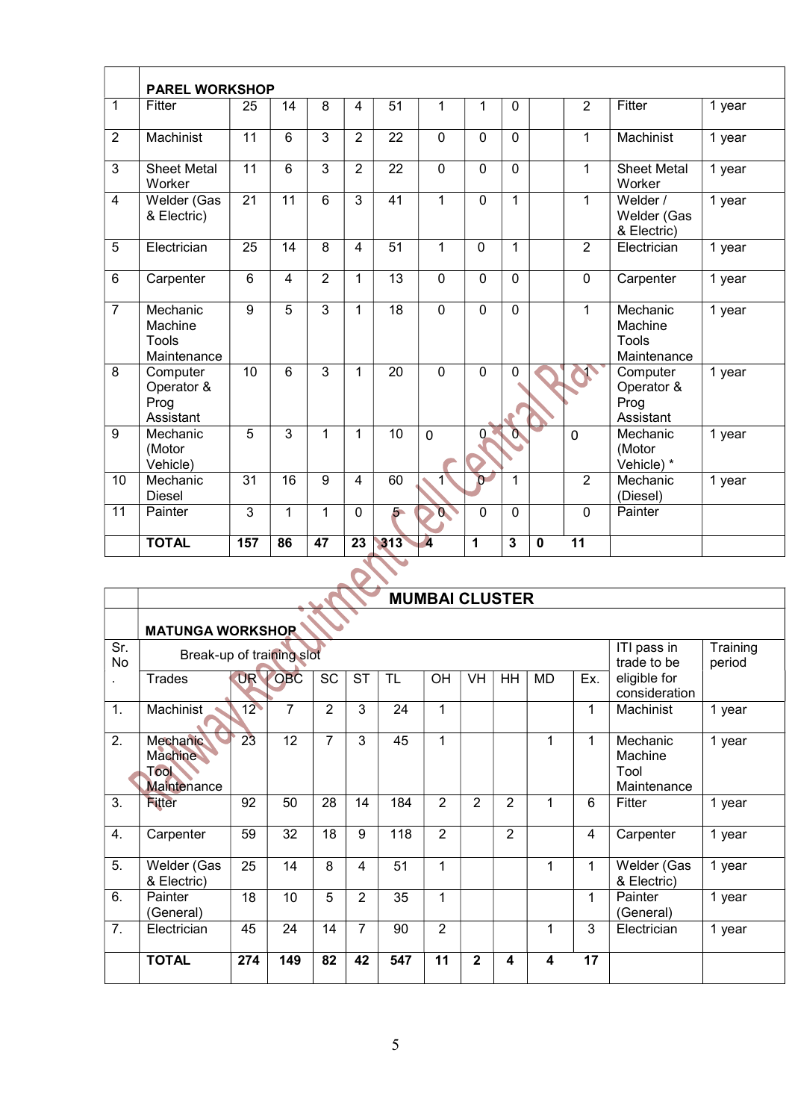|                | <b>PAREL WORKSHOP</b>                       |                 |                |                |                 |                 |                         |              |              |              |                 |                                             |        |
|----------------|---------------------------------------------|-----------------|----------------|----------------|-----------------|-----------------|-------------------------|--------------|--------------|--------------|-----------------|---------------------------------------------|--------|
| $\mathbf{1}$   | Fitter                                      | 25              | 14             | 8              | 4               | 51              | 1                       | 1            | 0            |              | $\overline{2}$  | Fitter                                      | 1 year |
| $\overline{2}$ | Machinist                                   | $\overline{11}$ | 6              | $\overline{3}$ | $\overline{2}$  | $\overline{22}$ | $\overline{0}$          | $\mathbf{0}$ | $\mathbf{0}$ |              | 1               | Machinist                                   | 1 year |
| 3              | <b>Sheet Metal</b><br>Worker                | 11              | 6              | 3              | $\overline{2}$  | 22              | $\mathbf{0}$            | $\Omega$     | $\Omega$     |              | 1               | <b>Sheet Metal</b><br>Worker                | 1 year |
| 4              | Welder (Gas<br>& Electric)                  | 21              | 11             | 6              | 3               | 41              | 1                       | $\Omega$     | 1            |              | 1               | Welder /<br>Welder (Gas<br>& Electric)      | 1 year |
| 5              | Electrician                                 | 25              | 14             | 8              | $\overline{4}$  | $\overline{51}$ | 1                       | $\mathbf{0}$ | 1            |              | 2               | Electrician                                 | 1 year |
| 6              | Carpenter                                   | 6               | 4              | $\overline{2}$ | 1               | 13              | $\mathbf 0$             | $\Omega$     | $\Omega$     |              | $\Omega$        | Carpenter                                   | 1 year |
| $\overline{7}$ | Mechanic<br>Machine<br>Tools<br>Maintenance | 9               | $\overline{5}$ | $\overline{3}$ | 1               | 18              | $\mathbf{0}$            | $\mathbf{0}$ | $\mathbf{0}$ |              | 1               | Mechanic<br>Machine<br>Tools<br>Maintenance | 1 year |
| 8              | Computer<br>Operator &<br>Prog<br>Assistant | 10              | 6              | $\overline{3}$ | 1               | 20              | $\mathbf{0}$            | $\mathbf{0}$ | 0<br>C.      |              |                 | Computer<br>Operator &<br>Prog<br>Assistant | 1 year |
| 9              | Mechanic<br>(Motor<br>Vehicle)              | 5               | 3              | $\mathbf{1}$   | 1               | 10              | $\mathbf 0$             | 0            | $\mathbf{0}$ |              | $\mathbf{0}$    | Mechanic<br>(Motor<br>Vehicle) *            | 1 year |
| 10             | Mechanic<br><b>Diesel</b>                   | 31              | 16             | 9              | 4               | 60              |                         | $\Omega$     | 1            |              | $\overline{2}$  | Mechanic<br>(Diesel)                        | 1 year |
| 11             | Painter                                     | 3               | $\mathbf{1}$   | 1              | 0               | $5 -$           | $\alpha$                | $\Omega$     | $\Omega$     |              | $\Omega$        | Painter                                     |        |
|                | <b>TOTAL</b>                                | 157             | 86             | 47             | $\overline{23}$ | 313             | $\overline{\mathbf{A}}$ | 1            | 3            | $\mathbf{0}$ | $\overline{11}$ |                                             |        |

|           |                                                   |                 |                |                |                |           | <b>MUMBAI CLUSTER</b> |                |                |           |     |                                            |                    |
|-----------|---------------------------------------------------|-----------------|----------------|----------------|----------------|-----------|-----------------------|----------------|----------------|-----------|-----|--------------------------------------------|--------------------|
|           | <b>MATUNGA WORKSHOP</b>                           |                 |                |                |                |           |                       |                |                |           |     |                                            |                    |
| Sr.<br>No | Break-up of training slot                         |                 |                |                |                |           |                       |                |                |           |     | ITI pass in<br>trade to be                 | Training<br>period |
|           | Trades                                            | <b>UR</b>       | <b>OBC</b>     | <b>SC</b>      | <b>ST</b>      | <b>TL</b> | OH                    | <b>VH</b>      | HH             | <b>MD</b> | Ex. | eligible for<br>consideration              |                    |
| 1.        | Machinist                                         | 12 <sup>°</sup> | $\overline{7}$ | $\overline{2}$ | 3              | 24        | 1                     |                |                |           | 1   | Machinist                                  | 1 year             |
| 2.        | Mechanic<br><b>Machine</b><br>Tool<br>Maintenance | 23              | 12             | 7              | 3              | 45        | 1                     |                |                | 1         | 1   | Mechanic<br>Machine<br>Tool<br>Maintenance | 1 year             |
| 3.        | <b>Fitter</b>                                     | 92              | 50             | 28             | 14             | 184       | $\overline{2}$        | $\overline{2}$ | $\overline{2}$ | 1         | 6   | Fitter                                     | 1 year             |
| 4.        | Carpenter                                         | 59              | 32             | 18             | 9              | 118       | $\overline{2}$        |                | $\overline{2}$ |           | 4   | Carpenter                                  | 1 year             |
| 5.        | Welder (Gas<br>& Electric)                        | 25              | 14             | 8              | 4              | 51        | 1                     |                |                | 1         | 1   | Welder (Gas<br>& Electric)                 | 1 year             |
| 6.        | Painter<br>(General)                              | 18              | 10             | 5              | $\overline{2}$ | 35        | 1                     |                |                |           | 1   | Painter<br>(General)                       | 1 year             |
| 7.        | Electrician                                       | 45              | 24             | 14             | 7              | 90        | $\overline{2}$        |                |                | 1         | 3   | Electrician                                | 1 year             |
|           | <b>TOTAL</b>                                      | 274             | 149            | 82             | 42             | 547       | 11                    | $\overline{2}$ | 4              | 4         | 17  |                                            |                    |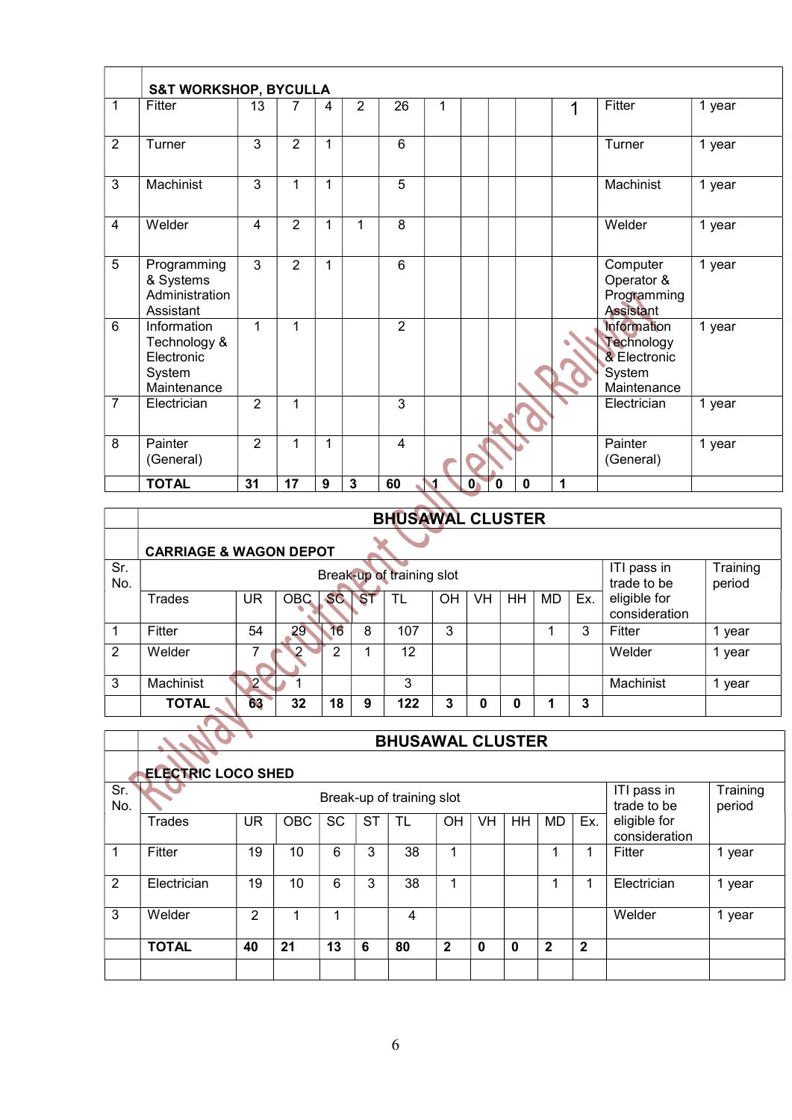|                | <b>S&amp;T WORKSHOP, BYCULLA</b>                                   |                |                |   |                |                |   |              |   |             |   |                                                                           |        |
|----------------|--------------------------------------------------------------------|----------------|----------------|---|----------------|----------------|---|--------------|---|-------------|---|---------------------------------------------------------------------------|--------|
| 1              | Fitter                                                             | 13             | 7              | 4 | $\overline{2}$ | 26             | 1 |              |   |             | 1 | Fitter                                                                    | 1 year |
| $\overline{2}$ | Turner                                                             | 3              | $\overline{2}$ | 1 |                | $6\phantom{1}$ |   |              |   |             |   | Turner                                                                    | 1 year |
| 3              | Machinist                                                          | 3              | 1              | 1 |                | 5              |   |              |   |             |   | Machinist                                                                 | 1 year |
| 4              | Welder                                                             | 4              | $\overline{2}$ | 1 | 1              | 8              |   |              |   |             |   | Welder                                                                    | 1 year |
| 5              | Programming<br>& Systems<br>Administration<br>Assistant            | 3              | $\overline{2}$ | 1 |                | 6              |   |              |   |             |   | Computer<br>Operator &<br>Programming<br><b>Assistant</b>                 | 1 year |
| 6              | Information<br>Technology &<br>Electronic<br>System<br>Maintenance | 1              | 1              |   |                | $\overline{2}$ |   |              |   |             |   | <b>Information</b><br>Technology<br>& Electronic<br>System<br>Maintenance | 1 year |
| $\overline{7}$ | Electrician                                                        | $\overline{2}$ | 1              |   |                | $\overline{3}$ |   |              |   |             |   | Electrician                                                               | 1 year |
| 8              | Painter<br>(General)                                               | 2              | 1              | 1 |                | $\overline{4}$ |   |              |   |             |   | Painter<br>(General)                                                      | 1 year |
|                | <b>TOTAL</b>                                                       | 31             | 17             | 9 | $\overline{3}$ | 60             | 1 | $\mathbf{0}$ | 0 | $\mathbf 0$ | 1 |                                                                           |        |

|            |              |                                   |            |           |           | <b>BHUSAWAL CLUSTER</b>   |    |           |           |           |     |                               |                    |  |  |
|------------|--------------|-----------------------------------|------------|-----------|-----------|---------------------------|----|-----------|-----------|-----------|-----|-------------------------------|--------------------|--|--|
|            |              | <b>CARRIAGE &amp; WAGON DEPOT</b> |            |           |           |                           |    |           |           |           |     |                               |                    |  |  |
| Sr.<br>No. |              |                                   |            |           |           | Break-up of training slot |    |           |           |           |     | ITI pass in<br>trade to be    | Training<br>period |  |  |
|            | Trades       | <b>UR</b>                         | <b>OBC</b> | <b>SC</b> | <b>ST</b> | TL                        | OH | <b>VH</b> | <b>HH</b> | <b>MD</b> | Ex. | eligible for<br>consideration |                    |  |  |
|            | Fitter       | 54                                | 29         | 16        | 8         | 107                       | 3  |           |           |           | 3   | Fitter                        | year               |  |  |
| 2          | Welder       |                                   |            | っ         |           | 12                        |    |           |           |           |     | Welder                        | year               |  |  |
| 3          | Machinist    | つ                                 |            |           |           | 3                         |    |           |           |           |     | Machinist                     | year               |  |  |
|            | <b>TOTAL</b> | 63                                | 32         | 18        | 9         | 122                       | 3  | 0         | 0         |           | 3   |                               |                    |  |  |

|            | <b>ELECTRIC LOCO SHED</b> |    |            |           |           |                           |             |    |    |             |              |                               |                    |
|------------|---------------------------|----|------------|-----------|-----------|---------------------------|-------------|----|----|-------------|--------------|-------------------------------|--------------------|
| Sr.<br>No. |                           |    |            |           |           | Break-up of training slot |             |    |    |             |              | ITI pass in<br>trade to be    | Training<br>period |
|            | Trades                    | UR | <b>OBC</b> | <b>SC</b> | <b>ST</b> | TL                        | <b>OH</b>   | VH | HH | <b>MD</b>   | Ex.          | eligible for<br>consideration |                    |
|            | Fitter                    | 19 | 10         | 6         | 3         | 38                        |             |    |    |             |              | Fitter                        | year               |
| 2          | Electrician               | 19 | 10         | 6         | 3         | 38                        |             |    |    |             |              | Electrician                   | year               |
| 3          | Welder                    | 2  |            | л         |           | 4                         |             |    |    |             |              | Welder                        | 1 year             |
|            | <b>TOTAL</b>              | 40 | 21         | 13        | 6         | 80                        | $\mathbf 2$ | 0  | 0  | $\mathbf 2$ | $\mathbf{2}$ |                               |                    |
|            |                           |    |            |           |           |                           |             |    |    |             |              |                               |                    |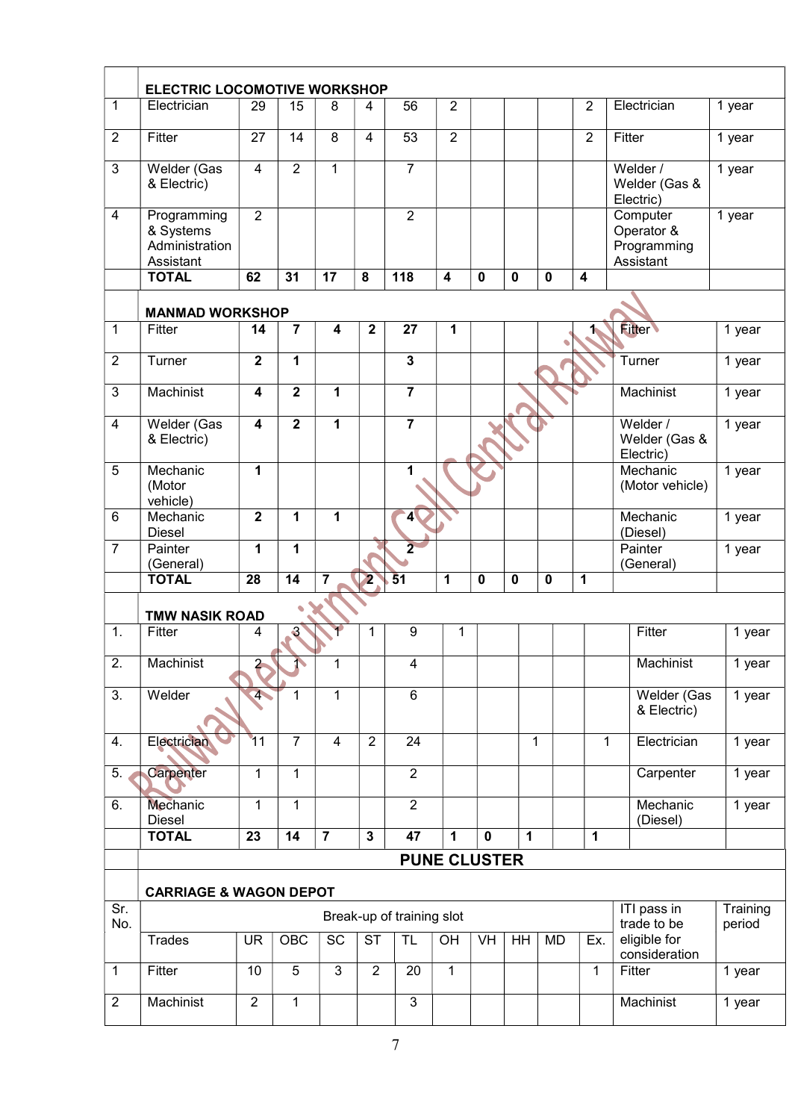|                  | <b>ELECTRIC LOCOMOTIVE WORKSHOP</b>                     |                         |                         |                         |                         |                           |                         |             |              |             |                         |                                                    |                    |
|------------------|---------------------------------------------------------|-------------------------|-------------------------|-------------------------|-------------------------|---------------------------|-------------------------|-------------|--------------|-------------|-------------------------|----------------------------------------------------|--------------------|
| $\mathbf{1}$     | Electrician                                             | 29                      | 15                      | 8                       | 4                       | 56                        | $\boldsymbol{2}$        |             |              |             | $\overline{2}$          | Electrician                                        | 1 year             |
|                  |                                                         |                         |                         |                         |                         |                           |                         |             |              |             |                         |                                                    |                    |
| $\overline{2}$   | Fitter                                                  | 27                      | 14                      | 8                       | $\overline{4}$          | 53                        | $\overline{2}$          |             |              |             | $\overline{2}$          | Fitter                                             | 1 year             |
| $\mathbf{3}$     | Welder (Gas<br>& Electric)                              | 4                       | $\overline{2}$          | 1                       |                         | $\overline{7}$            |                         |             |              |             |                         | Welder /<br>Welder (Gas &<br>Electric)             | 1 year             |
| $\overline{4}$   | Programming<br>& Systems<br>Administration<br>Assistant | $\overline{2}$          |                         |                         |                         | $\overline{2}$            |                         |             |              |             |                         | Computer<br>Operator &<br>Programming<br>Assistant | 1 year             |
|                  | <b>TOTAL</b>                                            | 62                      | 31                      | 17                      | 8                       | 118                       | $\overline{\mathbf{4}}$ | $\mathbf 0$ | $\mathbf 0$  | $\mathbf 0$ | $\overline{\mathbf{4}}$ |                                                    |                    |
|                  | <b>MANMAD WORKSHOP</b>                                  |                         |                         |                         |                         |                           |                         |             |              |             |                         |                                                    |                    |
| $\mathbf{1}$     | Fitter                                                  | 14                      | $\overline{7}$          | $\overline{\mathbf{4}}$ | 2                       | 27                        | 1                       |             |              |             | 1,                      | <b>Fitter</b>                                      | 1 year             |
| $\overline{2}$   | Turner                                                  | $\mathbf 2$             | 1                       |                         |                         | $\mathbf{3}$              |                         |             |              |             |                         | Turner                                             | 1 year             |
| $\mathbf{3}$     | Machinist                                               | 4                       | $\overline{\mathbf{2}}$ | 1                       |                         | $\overline{7}$            |                         |             |              |             |                         | Machinist                                          | 1 year             |
| 4                | Welder (Gas<br>& Electric)                              | $\overline{\mathbf{4}}$ | $\overline{2}$          | 1                       |                         | $\overline{7}$            |                         |             |              |             |                         | Welder /<br>Welder (Gas &<br>Electric)             | 1 year             |
| 5                | Mechanic<br>(Motor<br>vehicle)                          | 1                       |                         |                         |                         | 1                         |                         |             |              |             |                         | Mechanic<br>(Motor vehicle)                        | 1 year             |
| 6                | Mechanic<br><b>Diesel</b>                               | $\overline{\mathbf{2}}$ | 1                       | 1                       |                         | $\blacktriangleleft$      |                         |             |              |             |                         | Mechanic<br>(Diesel)                               | 1 year             |
| $\overline{7}$   | Painter<br>(General)                                    | 1                       | 1                       |                         |                         | $\overline{2}$            |                         |             |              |             |                         | Painter<br>(General)                               | 1 year             |
|                  | <b>TOTAL</b>                                            | 28                      | 14                      | $\overline{\mathbf{7}}$ | $\overline{\mathbf{2}}$ | $\overline{51}$           | 1                       | $\mathbf 0$ | $\mathbf 0$  | $\mathbf 0$ | $\mathbf 1$             |                                                    |                    |
|                  | <b>TMW NASIK ROAD</b>                                   |                         |                         |                         |                         |                           |                         |             |              |             |                         |                                                    |                    |
| 1.               | Fitter                                                  | 4                       | $\mathbf{3}$            |                         | 1                       | 9                         | 1                       |             |              |             |                         | Fitter                                             | 1 year             |
| $\overline{2}$   | Machinist                                               | $\overline{2}$          | 1                       | 1                       |                         | 4                         |                         |             |              |             |                         | Machinist                                          | 1 year             |
| $\overline{3}$ . | Welder                                                  | 4 <sup>1</sup>          | 1                       | $\mathbf{1}$            |                         | 6                         |                         |             |              |             |                         | Welder (Gas<br>& Electric)                         | 1 year             |
| 4.               | Electrician                                             | 11                      | $\overline{7}$          | $\overline{4}$          | $\overline{2}$          | 24                        |                         |             | $\mathbf{1}$ |             | 1                       | Electrician                                        | 1 year             |
| 5.               | Carpenter                                               | 1                       | 1                       |                         |                         | $\overline{2}$            |                         |             |              |             |                         | Carpenter                                          | 1 year             |
| 6.               | <b>Mechanic</b><br><b>Diesel</b>                        | 1                       | 1                       |                         |                         | $\overline{2}$            |                         |             |              |             |                         | Mechanic<br>(Diesel)                               | 1 year             |
|                  | <b>TOTAL</b>                                            | 23                      | 14                      | $\overline{7}$          | $\mathbf 3$             | $\overline{47}$           | 1                       | $\mathbf 0$ | 1            |             | 1                       |                                                    |                    |
|                  |                                                         |                         |                         |                         |                         |                           | <b>PUNE CLUSTER</b>     |             |              |             |                         |                                                    |                    |
|                  | <b>CARRIAGE &amp; WAGON DEPOT</b>                       |                         |                         |                         |                         |                           |                         |             |              |             |                         |                                                    |                    |
| Sr.<br>No.       |                                                         |                         |                         |                         |                         | Break-up of training slot |                         |             |              |             |                         | ITI pass in<br>trade to be                         | Training<br>period |
|                  | <b>Trades</b>                                           | <b>UR</b>               | OBC                     | <b>SC</b>               | <b>ST</b>               | <b>TL</b>                 | OH                      | VH          | HH           | MD          | Ex.                     | eligible for<br>consideration                      |                    |
| $\mathbf 1$      | Fitter                                                  | 10                      | $\overline{5}$          | $\overline{3}$          | $\overline{2}$          | 20                        | 1                       |             |              |             | 1                       | Fitter                                             | 1 year             |
| $\overline{2}$   | Machinist                                               | $\overline{2}$          | $\mathbf{1}$            |                         |                         | 3                         |                         |             |              |             |                         | Machinist                                          | 1 year             |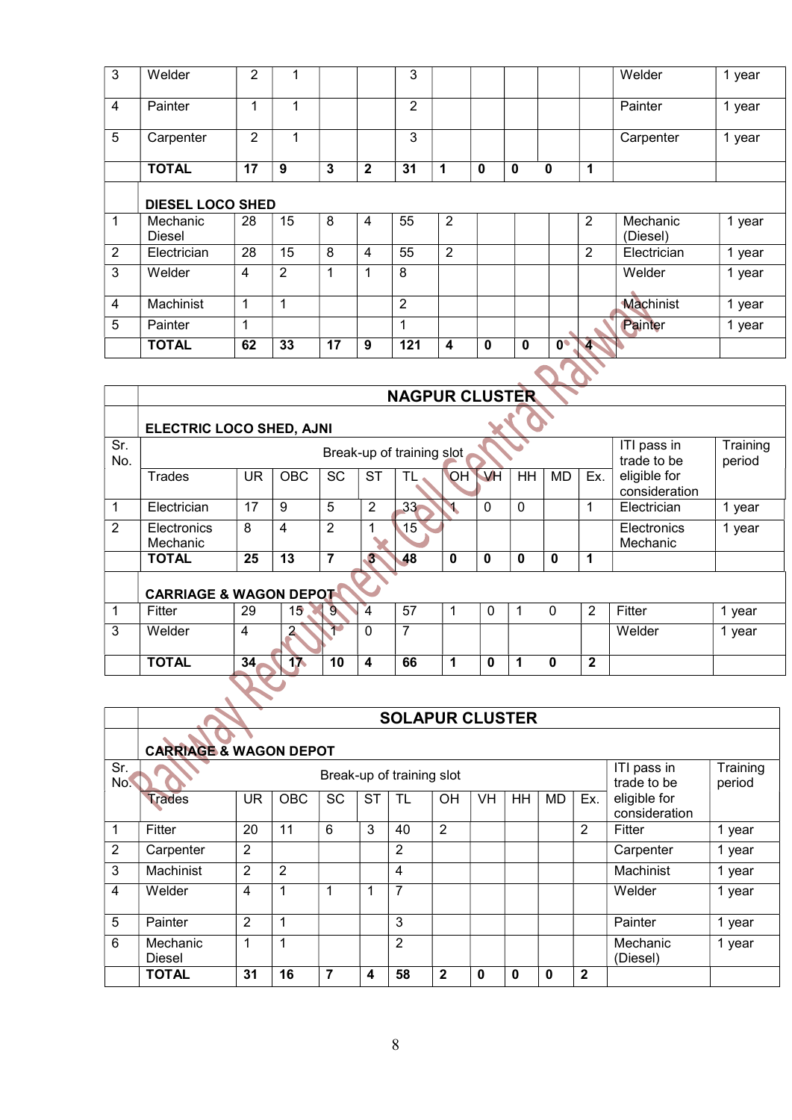| 3              | Welder                  | $\overline{2}$ | 1              |    |              | 3              |                |             |             |               |                | Welder               | 1 year |
|----------------|-------------------------|----------------|----------------|----|--------------|----------------|----------------|-------------|-------------|---------------|----------------|----------------------|--------|
| 4              | Painter                 | 1              | 1              |    |              | $\overline{2}$ |                |             |             |               |                | Painter              | 1 year |
| 5              | Carpenter               | $\overline{2}$ | 1              |    |              | 3              |                |             |             |               |                | Carpenter            | 1 year |
|                | <b>TOTAL</b>            | 17             | 9              | 3  | $\mathbf{2}$ | 31             | 1              | 0           | $\mathbf 0$ | 0             | 1              |                      |        |
|                | <b>DIESEL LOCO SHED</b> |                |                |    |              |                |                |             |             |               |                |                      |        |
| 1              | Mechanic<br>Diesel      | 28             | 15             | 8  | 4            | 55             | $\overline{2}$ |             |             |               | $\overline{2}$ | Mechanic<br>(Diesel) | 1 year |
| $\overline{2}$ | Electrician             | 28             | 15             | 8  | 4            | 55             | 2              |             |             |               | 2              | Electrician          | 1 year |
| 3              | Welder                  | $\overline{4}$ | $\overline{2}$ | 1  | ł            | 8              |                |             |             |               |                | Welder               | 1 year |
| $\overline{4}$ | Machinist               | $\mathbf{1}$   | 1              |    |              | $\overline{2}$ |                |             |             |               |                | Machinist            | 1 year |
| 5              | Painter                 | $\mathbf 1$    |                |    |              | 1              |                |             |             |               |                | Painter              | 1 year |
|                | <b>TOTAL</b>            | 62             | 33             | 17 | 9            | 121            | 4              | $\mathbf 0$ | $\mathbf 0$ | $0^{\bullet}$ | 4.             |                      |        |
|                |                         |                |                |    |              |                |                |             |             |               |                |                      |        |

|              |                                   |                 |                 |                |                | <b>NAGPUR CLUSTER</b>     |             |             |             |             |              |                               |                    |
|--------------|-----------------------------------|-----------------|-----------------|----------------|----------------|---------------------------|-------------|-------------|-------------|-------------|--------------|-------------------------------|--------------------|
|              | <b>ELECTRIC LOCO SHED, AJNI</b>   |                 |                 |                |                |                           |             |             |             |             |              |                               |                    |
| Sr.<br>No.   |                                   |                 |                 |                |                | Break-up of training slot |             |             |             |             |              | ITI pass in<br>trade to be    | Training<br>period |
|              | <b>Trades</b>                     | <b>UR</b>       | <b>OBC</b>      | SC             | <b>ST</b>      | ΤL                        | OH          | VH          | <b>HH</b>   | <b>MD</b>   | Ex.          | eligible for<br>consideration |                    |
| $\mathbf{1}$ | Electrician                       | 17              | 9               | 5              | $\overline{2}$ | 33 <sub>z</sub>           |             | 0           | $\mathbf 0$ |             | 1            | Electrician                   | 1 year             |
| 2            | <b>Electronics</b><br>Mechanic    | 8               | 4               | $\overline{2}$ |                | 15                        |             |             |             |             |              | Electronics<br>Mechanic       | 1 year             |
|              | <b>TOTAL</b>                      | 25              | 13              | $\overline{7}$ | 3 <sup>2</sup> | 48                        | $\mathbf 0$ | $\mathbf 0$ | $\mathbf 0$ | 0           | 1            |                               |                    |
|              | <b>CARRIAGE &amp; WAGON DEPOT</b> |                 |                 |                |                |                           |             |             |             |             |              |                               |                    |
| $\mathbf 1$  | Fitter                            | 29              | 15 <sup>°</sup> | $9 -$          | $\overline{4}$ | 57                        | 1           | $\mathbf 0$ |             | $\mathbf 0$ | 2            | Fitter                        | 1 year             |
| 3            | Welder                            | $\overline{4}$  |                 |                | $\Omega$       | 7                         |             |             |             |             |              | Welder                        | 1 year             |
|              | <b>TOTAL</b>                      | 34 <sub>1</sub> | 17              | 10             | 4              | 66                        | 1           | $\bf{0}$    | 1           | $\bf{0}$    | $\mathbf{2}$ |                               |                    |
|              |                                   |                 |                 |                |                |                           |             |             |             |             |              |                               |                    |

|            |                                   |                |                |           |    | <b>SOLAPUR CLUSTER</b>    |                |    |    |    |              |                               |                    |
|------------|-----------------------------------|----------------|----------------|-----------|----|---------------------------|----------------|----|----|----|--------------|-------------------------------|--------------------|
|            | <b>CARRIAGE &amp; WAGON DEPOT</b> |                |                |           |    |                           |                |    |    |    |              |                               |                    |
| Sr.<br>No. |                                   |                |                |           |    | Break-up of training slot |                |    |    |    |              | ITI pass in<br>trade to be    | Training<br>period |
|            | <b>Trades</b>                     | UR.            | <b>OBC</b>     | <b>SC</b> | SТ | TL                        | <b>OH</b>      | VH | HH | MD | Ex.          | eligible for<br>consideration |                    |
| 1          | Fitter                            | 20             | 11             | 6         | 3  | 40                        | $\overline{2}$ |    |    |    | 2            | Fitter                        | 1 year             |
| 2          | Carpenter                         | 2              |                |           |    | $\overline{2}$            |                |    |    |    |              | Carpenter                     | 1 year             |
| 3          | Machinist                         | $\overline{2}$ | $\overline{2}$ |           |    | $\overline{4}$            |                |    |    |    |              | Machinist                     | 1 year             |
| 4          | Welder                            | 4              | 1              |           |    | $\overline{7}$            |                |    |    |    |              | Welder                        | 1 year             |
| 5          | Painter                           | $\overline{2}$ | 1              |           |    | 3                         |                |    |    |    |              | Painter                       | 1 year             |
| 6          | Mechanic<br>Diesel                | 1              | 1              |           |    | $\overline{2}$            |                |    |    |    |              | Mechanic<br>(Diesel)          | 1 year             |
|            | <b>TOTAL</b>                      | 31             | 16             | 7         | 4  | 58                        | $\mathbf{2}$   | 0  | 0  | 0  | $\mathbf{2}$ |                               |                    |